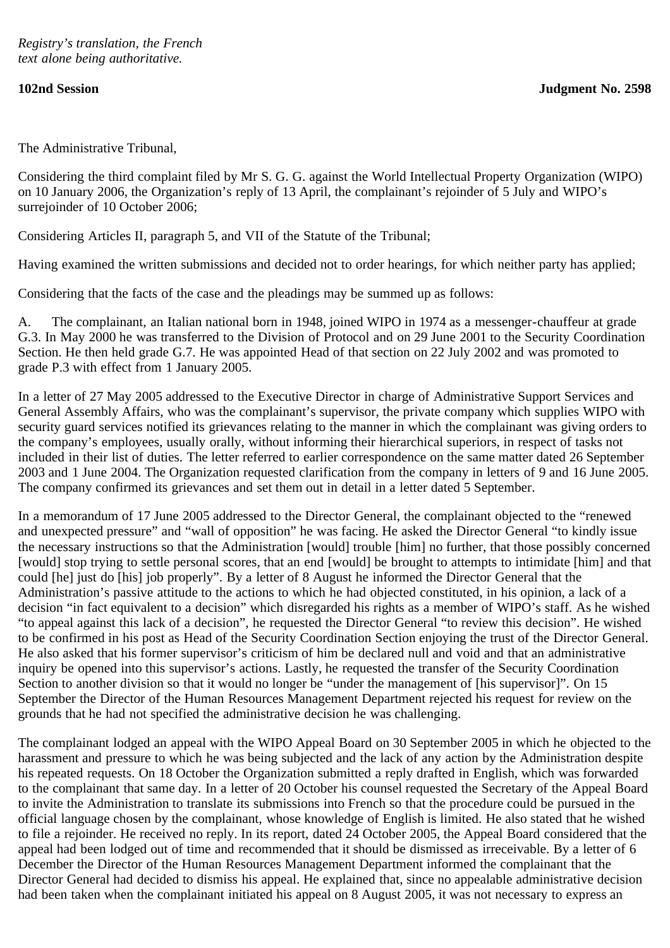The Administrative Tribunal,

Considering the third complaint filed by Mr S. G. G. against the World Intellectual Property Organization (WIPO) on 10 January 2006, the Organization's reply of 13 April, the complainant's rejoinder of 5 July and WIPO's surrejoinder of 10 October 2006;

Considering Articles II, paragraph 5, and VII of the Statute of the Tribunal;

Having examined the written submissions and decided not to order hearings, for which neither party has applied;

Considering that the facts of the case and the pleadings may be summed up as follows:

A. The complainant, an Italian national born in 1948, joined WIPO in 1974 as a messenger-chauffeur at grade G.3. In May 2000 he was transferred to the Division of Protocol and on 29 June 2001 to the Security Coordination Section. He then held grade G.7. He was appointed Head of that section on 22 July 2002 and was promoted to grade P.3 with effect from 1 January 2005.

In a letter of 27 May 2005 addressed to the Executive Director in charge of Administrative Support Services and General Assembly Affairs, who was the complainant's supervisor, the private company which supplies WIPO with security guard services notified its grievances relating to the manner in which the complainant was giving orders to the company's employees, usually orally, without informing their hierarchical superiors, in respect of tasks not included in their list of duties. The letter referred to earlier correspondence on the same matter dated 26 September 2003 and 1 June 2004. The Organization requested clarification from the company in letters of 9 and 16 June 2005. The company confirmed its grievances and set them out in detail in a letter dated 5 September.

In a memorandum of 17 June 2005 addressed to the Director General, the complainant objected to the "renewed and unexpected pressure" and "wall of opposition" he was facing. He asked the Director General "to kindly issue the necessary instructions so that the Administration [would] trouble [him] no further, that those possibly concerned [would] stop trying to settle personal scores, that an end [would] be brought to attempts to intimidate [him] and that could [he] just do [his] job properly". By a letter of 8 August he informed the Director General that the Administration's passive attitude to the actions to which he had objected constituted, in his opinion, a lack of a decision "in fact equivalent to a decision" which disregarded his rights as a member of WIPO's staff. As he wished "to appeal against this lack of a decision", he requested the Director General "to review this decision". He wished to be confirmed in his post as Head of the Security Coordination Section enjoying the trust of the Director General. He also asked that his former supervisor's criticism of him be declared null and void and that an administrative inquiry be opened into this supervisor's actions. Lastly, he requested the transfer of the Security Coordination Section to another division so that it would no longer be "under the management of [his supervisor]". On 15 September the Director of the Human Resources Management Department rejected his request for review on the grounds that he had not specified the administrative decision he was challenging.

The complainant lodged an appeal with the WIPO Appeal Board on 30 September 2005 in which he objected to the harassment and pressure to which he was being subjected and the lack of any action by the Administration despite his repeated requests. On 18 October the Organization submitted a reply drafted in English, which was forwarded to the complainant that same day. In a letter of 20 October his counsel requested the Secretary of the Appeal Board to invite the Administration to translate its submissions into French so that the procedure could be pursued in the official language chosen by the complainant, whose knowledge of English is limited. He also stated that he wished to file a rejoinder. He received no reply. In its report, dated 24 October 2005, the Appeal Board considered that the appeal had been lodged out of time and recommended that it should be dismissed as irreceivable. By a letter of 6 December the Director of the Human Resources Management Department informed the complainant that the Director General had decided to dismiss his appeal. He explained that, since no appealable administrative decision had been taken when the complainant initiated his appeal on 8 August 2005, it was not necessary to express an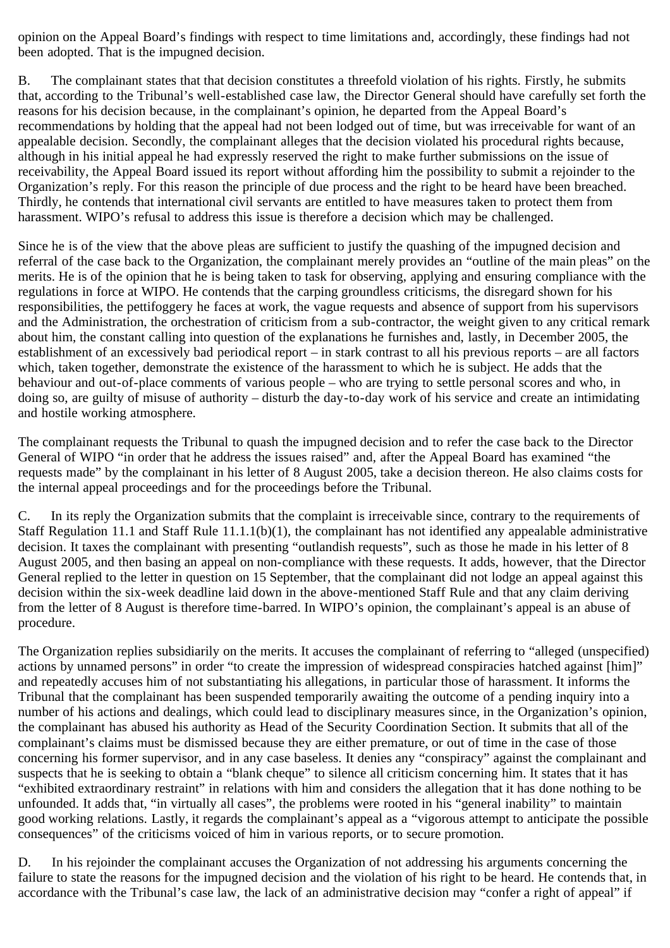opinion on the Appeal Board's findings with respect to time limitations and, accordingly, these findings had not been adopted. That is the impugned decision.

B. The complainant states that that decision constitutes a threefold violation of his rights. Firstly, he submits that, according to the Tribunal's well-established case law, the Director General should have carefully set forth the reasons for his decision because, in the complainant's opinion, he departed from the Appeal Board's recommendations by holding that the appeal had not been lodged out of time, but was irreceivable for want of an appealable decision. Secondly, the complainant alleges that the decision violated his procedural rights because, although in his initial appeal he had expressly reserved the right to make further submissions on the issue of receivability, the Appeal Board issued its report without affording him the possibility to submit a rejoinder to the Organization's reply. For this reason the principle of due process and the right to be heard have been breached. Thirdly, he contends that international civil servants are entitled to have measures taken to protect them from harassment. WIPO's refusal to address this issue is therefore a decision which may be challenged.

Since he is of the view that the above pleas are sufficient to justify the quashing of the impugned decision and referral of the case back to the Organization, the complainant merely provides an "outline of the main pleas" on the merits. He is of the opinion that he is being taken to task for observing, applying and ensuring compliance with the regulations in force at WIPO. He contends that the carping groundless criticisms, the disregard shown for his responsibilities, the pettifoggery he faces at work, the vague requests and absence of support from his supervisors and the Administration, the orchestration of criticism from a sub-contractor, the weight given to any critical remark about him, the constant calling into question of the explanations he furnishes and, lastly, in December 2005, the establishment of an excessively bad periodical report – in stark contrast to all his previous reports – are all factors which, taken together, demonstrate the existence of the harassment to which he is subject. He adds that the behaviour and out-of-place comments of various people – who are trying to settle personal scores and who, in doing so, are guilty of misuse of authority – disturb the day-to-day work of his service and create an intimidating and hostile working atmosphere.

The complainant requests the Tribunal to quash the impugned decision and to refer the case back to the Director General of WIPO "in order that he address the issues raised" and, after the Appeal Board has examined "the requests made" by the complainant in his letter of 8 August 2005, take a decision thereon. He also claims costs for the internal appeal proceedings and for the proceedings before the Tribunal.

C. In its reply the Organization submits that the complaint is irreceivable since, contrary to the requirements of Staff Regulation 11.1 and Staff Rule 11.1.1(b)(1), the complainant has not identified any appealable administrative decision. It taxes the complainant with presenting "outlandish requests", such as those he made in his letter of 8 August 2005, and then basing an appeal on non-compliance with these requests. It adds, however, that the Director General replied to the letter in question on 15 September, that the complainant did not lodge an appeal against this decision within the six-week deadline laid down in the above-mentioned Staff Rule and that any claim deriving from the letter of 8 August is therefore time-barred. In WIPO's opinion, the complainant's appeal is an abuse of procedure.

The Organization replies subsidiarily on the merits. It accuses the complainant of referring to "alleged (unspecified) actions by unnamed persons" in order "to create the impression of widespread conspiracies hatched against [him]" and repeatedly accuses him of not substantiating his allegations, in particular those of harassment. It informs the Tribunal that the complainant has been suspended temporarily awaiting the outcome of a pending inquiry into a number of his actions and dealings, which could lead to disciplinary measures since, in the Organization's opinion, the complainant has abused his authority as Head of the Security Coordination Section. It submits that all of the complainant's claims must be dismissed because they are either premature, or out of time in the case of those concerning his former supervisor, and in any case baseless. It denies any "conspiracy" against the complainant and suspects that he is seeking to obtain a "blank cheque" to silence all criticism concerning him. It states that it has "exhibited extraordinary restraint" in relations with him and considers the allegation that it has done nothing to be unfounded. It adds that, "in virtually all cases", the problems were rooted in his "general inability" to maintain good working relations. Lastly, it regards the complainant's appeal as a "vigorous attempt to anticipate the possible consequences" of the criticisms voiced of him in various reports, or to secure promotion.

D. In his rejoinder the complainant accuses the Organization of not addressing his arguments concerning the failure to state the reasons for the impugned decision and the violation of his right to be heard. He contends that, in accordance with the Tribunal's case law, the lack of an administrative decision may "confer a right of appeal" if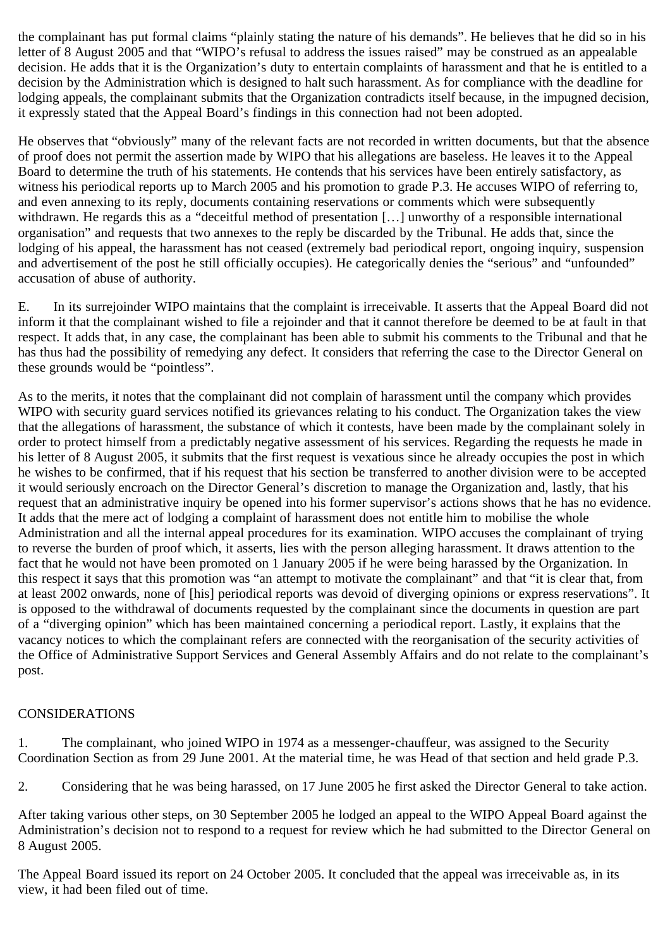the complainant has put formal claims "plainly stating the nature of his demands". He believes that he did so in his letter of 8 August 2005 and that "WIPO's refusal to address the issues raised" may be construed as an appealable decision. He adds that it is the Organization's duty to entertain complaints of harassment and that he is entitled to a decision by the Administration which is designed to halt such harassment. As for compliance with the deadline for lodging appeals, the complainant submits that the Organization contradicts itself because, in the impugned decision, it expressly stated that the Appeal Board's findings in this connection had not been adopted.

He observes that "obviously" many of the relevant facts are not recorded in written documents, but that the absence of proof does not permit the assertion made by WIPO that his allegations are baseless. He leaves it to the Appeal Board to determine the truth of his statements. He contends that his services have been entirely satisfactory, as witness his periodical reports up to March 2005 and his promotion to grade P.3. He accuses WIPO of referring to, and even annexing to its reply, documents containing reservations or comments which were subsequently withdrawn. He regards this as a "deceitful method of presentation [...] unworthy of a responsible international organisation" and requests that two annexes to the reply be discarded by the Tribunal. He adds that, since the lodging of his appeal, the harassment has not ceased (extremely bad periodical report, ongoing inquiry, suspension and advertisement of the post he still officially occupies). He categorically denies the "serious" and "unfounded" accusation of abuse of authority.

E. In its surrejoinder WIPO maintains that the complaint is irreceivable. It asserts that the Appeal Board did not inform it that the complainant wished to file a rejoinder and that it cannot therefore be deemed to be at fault in that respect. It adds that, in any case, the complainant has been able to submit his comments to the Tribunal and that he has thus had the possibility of remedying any defect. It considers that referring the case to the Director General on these grounds would be "pointless".

As to the merits, it notes that the complainant did not complain of harassment until the company which provides WIPO with security guard services notified its grievances relating to his conduct. The Organization takes the view that the allegations of harassment, the substance of which it contests, have been made by the complainant solely in order to protect himself from a predictably negative assessment of his services. Regarding the requests he made in his letter of 8 August 2005, it submits that the first request is vexatious since he already occupies the post in which he wishes to be confirmed, that if his request that his section be transferred to another division were to be accepted it would seriously encroach on the Director General's discretion to manage the Organization and, lastly, that his request that an administrative inquiry be opened into his former supervisor's actions shows that he has no evidence. It adds that the mere act of lodging a complaint of harassment does not entitle him to mobilise the whole Administration and all the internal appeal procedures for its examination. WIPO accuses the complainant of trying to reverse the burden of proof which, it asserts, lies with the person alleging harassment. It draws attention to the fact that he would not have been promoted on 1 January 2005 if he were being harassed by the Organization. In this respect it says that this promotion was "an attempt to motivate the complainant" and that "it is clear that, from at least 2002 onwards, none of [his] periodical reports was devoid of diverging opinions or express reservations". It is opposed to the withdrawal of documents requested by the complainant since the documents in question are part of a "diverging opinion" which has been maintained concerning a periodical report. Lastly, it explains that the vacancy notices to which the complainant refers are connected with the reorganisation of the security activities of the Office of Administrative Support Services and General Assembly Affairs and do not relate to the complainant's post.

## CONSIDERATIONS

1. The complainant, who joined WIPO in 1974 as a messenger-chauffeur, was assigned to the Security Coordination Section as from 29 June 2001. At the material time, he was Head of that section and held grade P.3.

2. Considering that he was being harassed, on 17 June 2005 he first asked the Director General to take action.

After taking various other steps, on 30 September 2005 he lodged an appeal to the WIPO Appeal Board against the Administration's decision not to respond to a request for review which he had submitted to the Director General on 8 August 2005.

The Appeal Board issued its report on 24 October 2005. It concluded that the appeal was irreceivable as, in its view, it had been filed out of time.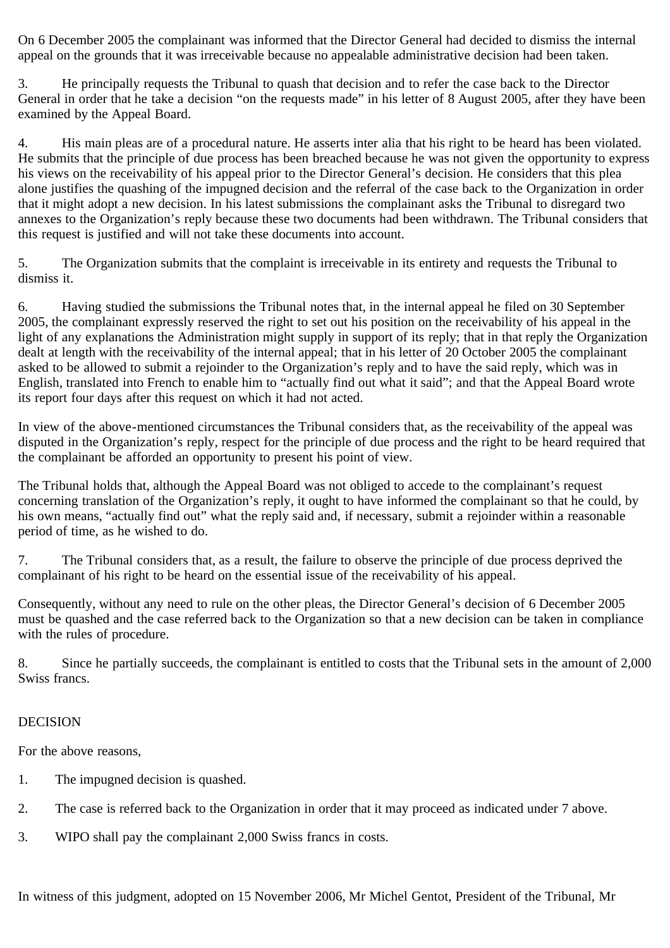On 6 December 2005 the complainant was informed that the Director General had decided to dismiss the internal appeal on the grounds that it was irreceivable because no appealable administrative decision had been taken.

3. He principally requests the Tribunal to quash that decision and to refer the case back to the Director General in order that he take a decision "on the requests made" in his letter of 8 August 2005, after they have been examined by the Appeal Board.

4. His main pleas are of a procedural nature. He asserts inter alia that his right to be heard has been violated. He submits that the principle of due process has been breached because he was not given the opportunity to express his views on the receivability of his appeal prior to the Director General's decision. He considers that this plea alone justifies the quashing of the impugned decision and the referral of the case back to the Organization in order that it might adopt a new decision. In his latest submissions the complainant asks the Tribunal to disregard two annexes to the Organization's reply because these two documents had been withdrawn. The Tribunal considers that this request is justified and will not take these documents into account.

5. The Organization submits that the complaint is irreceivable in its entirety and requests the Tribunal to dismiss it.

6. Having studied the submissions the Tribunal notes that, in the internal appeal he filed on 30 September 2005, the complainant expressly reserved the right to set out his position on the receivability of his appeal in the light of any explanations the Administration might supply in support of its reply; that in that reply the Organization dealt at length with the receivability of the internal appeal; that in his letter of 20 October 2005 the complainant asked to be allowed to submit a rejoinder to the Organization's reply and to have the said reply, which was in English, translated into French to enable him to "actually find out what it said"; and that the Appeal Board wrote its report four days after this request on which it had not acted.

In view of the above-mentioned circumstances the Tribunal considers that, as the receivability of the appeal was disputed in the Organization's reply, respect for the principle of due process and the right to be heard required that the complainant be afforded an opportunity to present his point of view.

The Tribunal holds that, although the Appeal Board was not obliged to accede to the complainant's request concerning translation of the Organization's reply, it ought to have informed the complainant so that he could, by his own means, "actually find out" what the reply said and, if necessary, submit a rejoinder within a reasonable period of time, as he wished to do.

7. The Tribunal considers that, as a result, the failure to observe the principle of due process deprived the complainant of his right to be heard on the essential issue of the receivability of his appeal.

Consequently, without any need to rule on the other pleas, the Director General's decision of 6 December 2005 must be quashed and the case referred back to the Organization so that a new decision can be taken in compliance with the rules of procedure.

8. Since he partially succeeds, the complainant is entitled to costs that the Tribunal sets in the amount of 2,000 Swiss francs.

## DECISION

For the above reasons,

- 1. The impugned decision is quashed.
- 2. The case is referred back to the Organization in order that it may proceed as indicated under 7 above.
- 3. WIPO shall pay the complainant 2,000 Swiss francs in costs.